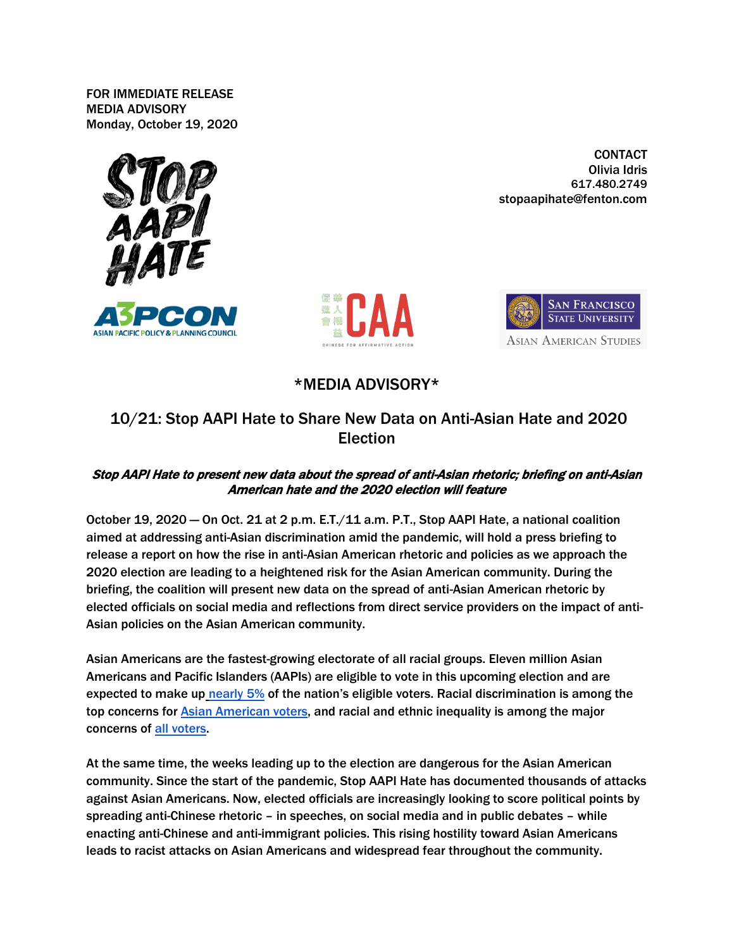**FOR IMMEDIATE RELEASE MEDIA ADVISORY Monday, October 19, 2020**



**CONTACT** Olivia Idris 617.480.2749 stopaapihate@fenton.com





## **\*MEDIA ADVISORY\***

## **10/21: Stop AAPI Hate to Share New Data on Anti-Asian Hate and 2020 Election**

## Stop AAPI Hate to present new data about the spread of anti-Asian rhetoric; briefing on anti-Asian American hate and the 2020 election will feature

October 19, 2020 — On **Oct. 21 at 2 p.m. E.T./11 a.m. P.T.**, Stop AAPI Hate, a national coalition aimed at addressing anti-Asian discrimination amid the pandemic, will hold a press briefing to release a report on how the rise in anti-Asian American rhetoric and policies as we approach the 2020 election are leading to a heightened risk for the Asian American community. During the briefing, the coalition will present new data on the spread of anti-Asian American rhetoric by elected officials on social media and reflections from direct service providers on the impact of anti-Asian policies on the Asian American community.

Asian Americans are the fastest-growing electorate of all racial groups. Eleven million Asian Americans and Pacific Islanders (AAPIs) are eligible to vote in this upcoming election and are expected to make u[p](https://www.pewresearch.org/fact-tank/2020/05/07/asian-americans-are-the-fastest-growing-racial-or-ethnic-group-in-the-u-s-electorate) [nearly 5%](https://www.pewresearch.org/fact-tank/2020/05/07/asian-americans-are-the-fastest-growing-racial-or-ethnic-group-in-the-u-s-electorate) of the nation's eligible voters. Racial discrimination is among the top concerns for [Asian American voters,](https://aapidata.com/wp-content/uploads/2020/09/Slides-AAVS-2020-sep15.pdf) and racial and ethnic inequality is among the major concerns of [all voters.](https://www.pewresearch.org/politics/2020/08/13/important-issues-in-the-2020-election/)

At the same time, the weeks leading up to the election are dangerous for the Asian American community. Since the start of the pandemic, Stop AAPI Hate has documented thousands of attacks against Asian Americans. Now, elected officials are increasingly looking to score political points by spreading anti-Chinese rhetoric – in speeches, on social media and in public debates – while enacting anti-Chinese and anti-immigrant policies. This rising hostility toward Asian Americans leads to racist attacks on Asian Americans and widespread fear throughout the community.